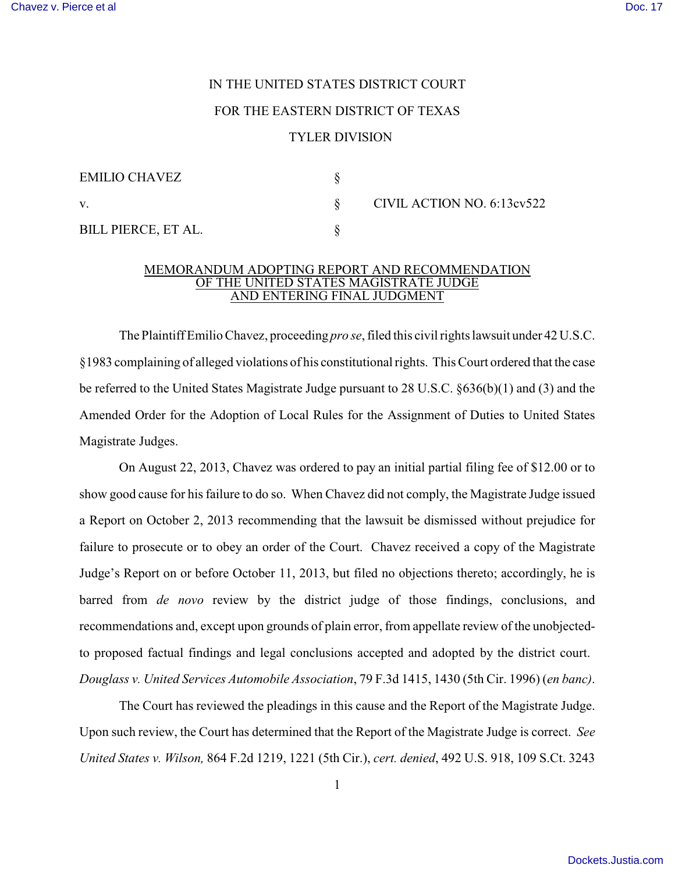## IN THE UNITED STATES DISTRICT COURT FOR THE EASTERN DISTRICT OF TEXAS TYLER DIVISION

| EMILIO CHAVEZ              |                            |
|----------------------------|----------------------------|
| V.                         | CIVIL ACTION NO. 6:13ev522 |
| <b>BILL PIERCE, ET AL.</b> |                            |

## MEMORANDUM ADOPTING REPORT AND RECOMMENDATION OF THE UNITED STATES MAGISTRATE JUDGE AND ENTERING FINAL JUDGMENT

The Plaintiff Emilio Chavez, proceeding *pro se*, filed this civil rights lawsuit under 42 U.S.C. §1983 complaining of alleged violations of his constitutional rights. This Court ordered that the case be referred to the United States Magistrate Judge pursuant to 28 U.S.C. §636(b)(1) and (3) and the Amended Order for the Adoption of Local Rules for the Assignment of Duties to United States Magistrate Judges.

On August 22, 2013, Chavez was ordered to pay an initial partial filing fee of \$12.00 or to show good cause for his failure to do so. When Chavez did not comply, the Magistrate Judge issued a Report on October 2, 2013 recommending that the lawsuit be dismissed without prejudice for failure to prosecute or to obey an order of the Court. Chavez received a copy of the Magistrate Judge's Report on or before October 11, 2013, but filed no objections thereto; accordingly, he is barred from *de novo* review by the district judge of those findings, conclusions, and recommendations and, except upon grounds of plain error, from appellate review of the unobjectedto proposed factual findings and legal conclusions accepted and adopted by the district court. *Douglass v. United Services Automobile Association*, 79 F.3d 1415, 1430 (5th Cir. 1996) (*en banc)*.

The Court has reviewed the pleadings in this cause and the Report of the Magistrate Judge. Upon such review, the Court has determined that the Report of the Magistrate Judge is correct. *See United States v. Wilson,* 864 F.2d 1219, 1221 (5th Cir.), *cert. denied*, 492 U.S. 918, 109 S.Ct. 3243